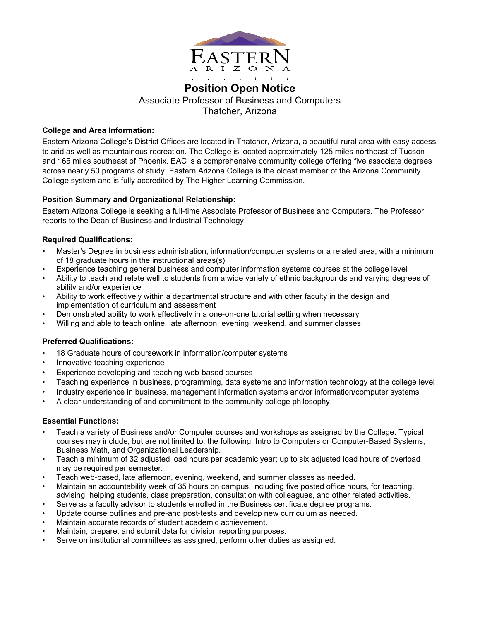

# **Position Open Notice** Associate Professor of Business and Computers Thatcher, Arizona

## **College and Area Information:**

Eastern Arizona College's District Offices are located in Thatcher, Arizona, a beautiful rural area with easy access to arid as well as mountainous recreation. The College is located approximately 125 miles northeast of Tucson and 165 miles southeast of Phoenix. EAC is a comprehensive community college offering five associate degrees across nearly 50 programs of study. Eastern Arizona College is the oldest member of the Arizona Community College system and is fully accredited by The Higher Learning Commission.

## **Position Summary and Organizational Relationship:**

Eastern Arizona College is seeking a full-time Associate Professor of Business and Computers. The Professor reports to the Dean of Business and Industrial Technology.

## **Required Qualifications:**

- Master's Degree in business administration, information/computer systems or a related area, with a minimum of 18 graduate hours in the instructional areas(s)
- Experience teaching general business and computer information systems courses at the college level
- Ability to teach and relate well to students from a wide variety of ethnic backgrounds and varying degrees of ability and/or experience
- Ability to work effectively within a departmental structure and with other faculty in the design and implementation of curriculum and assessment
- Demonstrated ability to work effectively in a one-on-one tutorial setting when necessary
- Willing and able to teach online, late afternoon, evening, weekend, and summer classes

## **Preferred Qualifications:**

- 18 Graduate hours of coursework in information/computer systems
- Innovative teaching experience
- Experience developing and teaching web-based courses
- Teaching experience in business, programming, data systems and information technology at the college level
- Industry experience in business, management information systems and/or information/computer systems
- A clear understanding of and commitment to the community college philosophy

## **Essential Functions:**

- Teach a variety of Business and/or Computer courses and workshops as assigned by the College. Typical courses may include, but are not limited to, the following: Intro to Computers or Computer-Based Systems, Business Math, and Organizational Leadership.
- Teach a minimum of 32 adjusted load hours per academic year; up to six adjusted load hours of overload may be required per semester.
- Teach web-based, late afternoon, evening, weekend, and summer classes as needed.
- Maintain an accountability week of 35 hours on campus, including five posted office hours, for teaching,
- advising, helping students, class preparation, consultation with colleagues, and other related activities.
- Serve as a faculty advisor to students enrolled in the Business certificate degree programs.
- Update course outlines and pre-and post-tests and develop new curriculum as needed.
- Maintain accurate records of student academic achievement.
- Maintain, prepare, and submit data for division reporting purposes.
- Serve on institutional committees as assigned; perform other duties as assigned.